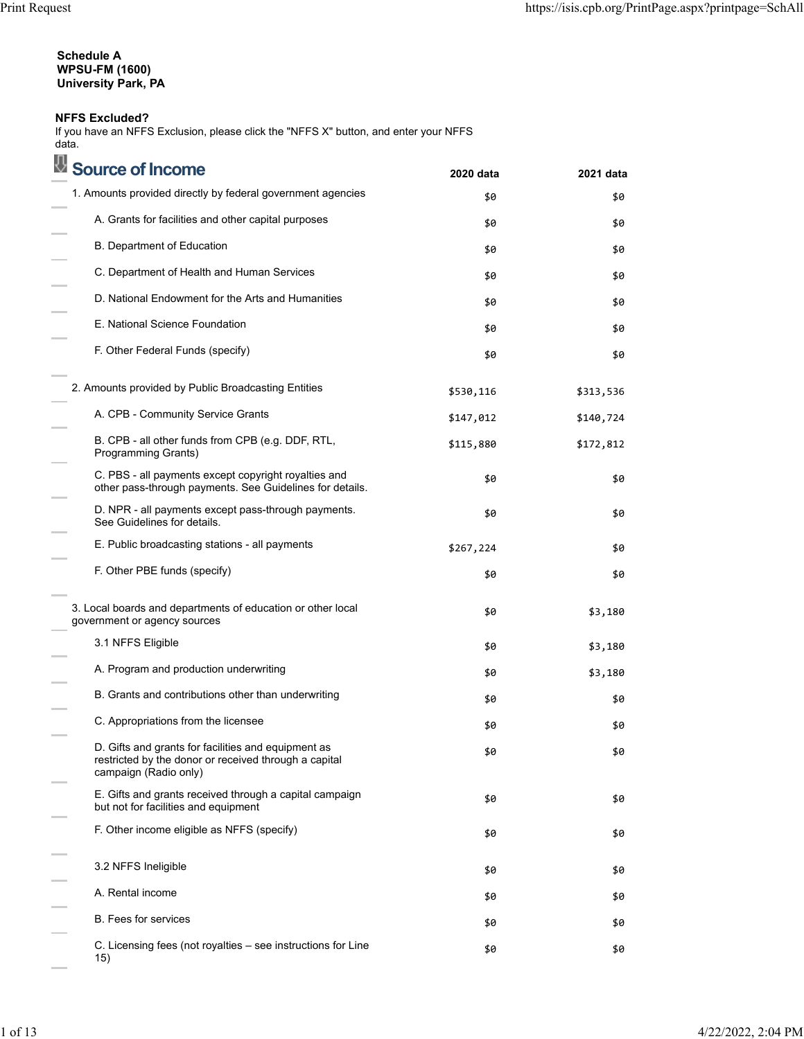## **Schedule A WPSU-FM (1600) University Park, PA**

## **NFFS Excluded?**

If you have an NFFS Exclusion, please click the "NFFS X" button, and enter your NFFS data.<br>**■** 

| Source of Income                                                                                                                      | 2020 data | 2021 data |
|---------------------------------------------------------------------------------------------------------------------------------------|-----------|-----------|
| 1. Amounts provided directly by federal government agencies                                                                           | \$0       | \$0       |
| A. Grants for facilities and other capital purposes                                                                                   | \$0       | \$0       |
| <b>B.</b> Department of Education                                                                                                     | \$0       | \$0       |
| C. Department of Health and Human Services                                                                                            | \$0       | \$0       |
| D. National Endowment for the Arts and Humanities                                                                                     | \$0       | \$0       |
| E. National Science Foundation                                                                                                        | \$0       | \$0       |
| F. Other Federal Funds (specify)                                                                                                      | \$0       | \$0       |
| 2. Amounts provided by Public Broadcasting Entities                                                                                   | \$530,116 | \$313,536 |
| A. CPB - Community Service Grants                                                                                                     | \$147,012 | \$140,724 |
| B. CPB - all other funds from CPB (e.g. DDF, RTL,<br>Programming Grants)                                                              | \$115,880 | \$172,812 |
| C. PBS - all payments except copyright royalties and<br>other pass-through payments. See Guidelines for details.                      | \$0       | \$0       |
| D. NPR - all payments except pass-through payments.<br>See Guidelines for details.                                                    | \$0       | \$0       |
| E. Public broadcasting stations - all payments                                                                                        | \$267,224 | \$0       |
| F. Other PBE funds (specify)                                                                                                          | \$0       | \$0       |
| 3. Local boards and departments of education or other local<br>government or agency sources                                           | \$0       | \$3,180   |
| 3.1 NFFS Eligible                                                                                                                     | \$0       | \$3,180   |
| A. Program and production underwriting                                                                                                | \$0       | \$3,180   |
| B. Grants and contributions other than underwriting                                                                                   | \$0       | \$0       |
| C. Appropriations from the licensee                                                                                                   | \$0       | \$0       |
| D. Gifts and grants for facilities and equipment as<br>restricted by the donor or received through a capital<br>campaign (Radio only) | \$0       | \$0       |
| E. Gifts and grants received through a capital campaign<br>but not for facilities and equipment                                       | \$0       | \$0       |
| F. Other income eligible as NFFS (specify)                                                                                            | \$0       | \$0       |
| 3.2 NFFS Ineligible                                                                                                                   | \$0       | \$0       |
| A. Rental income                                                                                                                      | \$0       | \$0       |
| <b>B.</b> Fees for services                                                                                                           | \$0       | \$0       |
| C. Licensing fees (not royalties - see instructions for Line<br>15)                                                                   | \$0       | \$0       |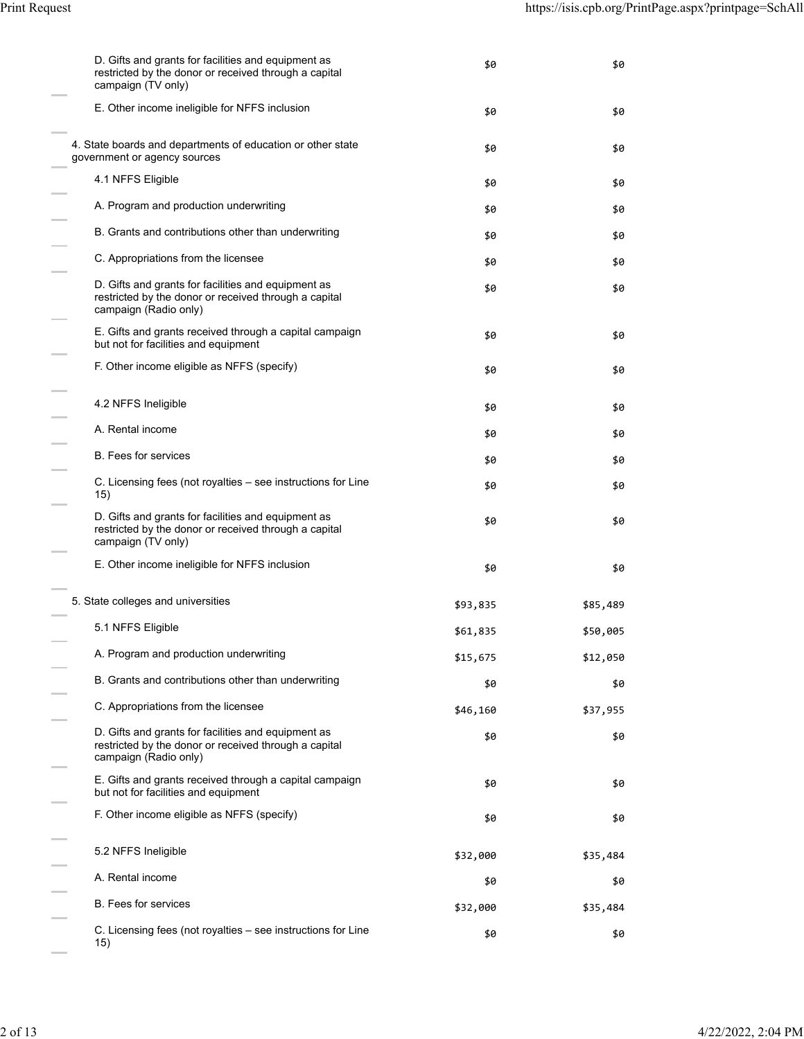| D. Gifts and grants for facilities and equipment as<br>restricted by the donor or received through a capital<br>campaign (TV only)    | \$0      | \$0      |
|---------------------------------------------------------------------------------------------------------------------------------------|----------|----------|
| E. Other income ineligible for NFFS inclusion                                                                                         | \$0      | \$0      |
| 4. State boards and departments of education or other state<br>government or agency sources                                           | \$0      | \$0      |
| 4.1 NFFS Eligible                                                                                                                     | \$0      | \$0      |
| A. Program and production underwriting                                                                                                | \$0      | \$0      |
| B. Grants and contributions other than underwriting                                                                                   | \$0      | \$0      |
| C. Appropriations from the licensee                                                                                                   | \$0      | \$0      |
| D. Gifts and grants for facilities and equipment as<br>restricted by the donor or received through a capital<br>campaign (Radio only) | \$0      | \$0      |
| E. Gifts and grants received through a capital campaign<br>but not for facilities and equipment                                       | \$0      | \$0      |
| F. Other income eligible as NFFS (specify)                                                                                            | \$0      | \$0      |
| 4.2 NFFS Ineligible                                                                                                                   | \$0      | \$0      |
| A. Rental income                                                                                                                      | \$0      | \$0      |
| <b>B.</b> Fees for services                                                                                                           | \$0      | \$0      |
| C. Licensing fees (not royalties – see instructions for Line<br>15)                                                                   | \$0      | \$0      |
| D. Gifts and grants for facilities and equipment as<br>restricted by the donor or received through a capital<br>campaign (TV only)    | \$0      | \$0      |
| E. Other income ineligible for NFFS inclusion                                                                                         | \$0      | \$0      |
| 5. State colleges and universities                                                                                                    | \$93,835 | \$85,489 |
| 5.1 NFFS Eligible                                                                                                                     | \$61,835 | \$50,005 |
| A. Program and production underwriting                                                                                                | \$15,675 | \$12,050 |
| B. Grants and contributions other than underwriting                                                                                   | \$0      | \$0      |
| C. Appropriations from the licensee                                                                                                   | \$46,160 | \$37,955 |
| D. Gifts and grants for facilities and equipment as<br>restricted by the donor or received through a capital<br>campaign (Radio only) | \$0      | \$0      |
| E. Gifts and grants received through a capital campaign<br>but not for facilities and equipment                                       | \$0      | \$0      |
| F. Other income eligible as NFFS (specify)                                                                                            | \$0      | \$0      |
| 5.2 NFFS Ineligible                                                                                                                   | \$32,000 | \$35,484 |
| A. Rental income                                                                                                                      | \$0      | \$0      |
| <b>B.</b> Fees for services                                                                                                           | \$32,000 | \$35,484 |
| C. Licensing fees (not royalties - see instructions for Line<br>15)                                                                   | \$0      | \$0      |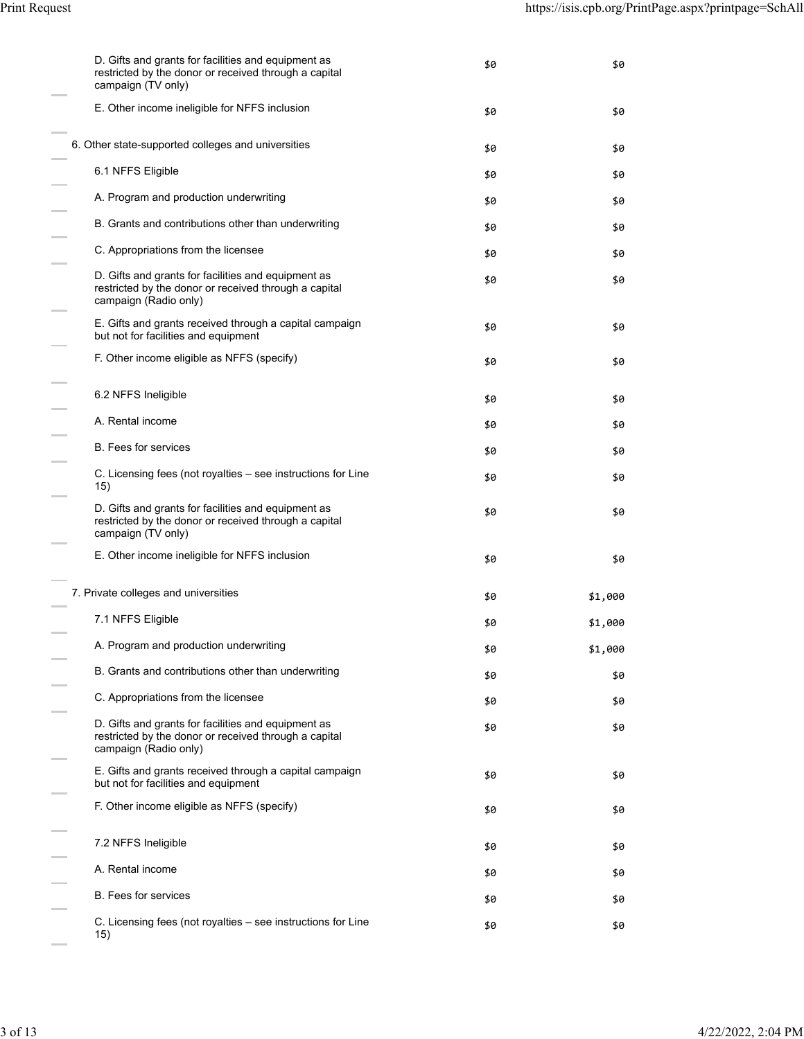| D. Gifts and grants for facilities and equipment as<br>restricted by the donor or received through a capital<br>campaign (TV only)    | \$0 | \$0     |
|---------------------------------------------------------------------------------------------------------------------------------------|-----|---------|
| E. Other income ineligible for NFFS inclusion                                                                                         | \$0 | \$0     |
| 6. Other state-supported colleges and universities                                                                                    | \$0 | \$0     |
| 6.1 NFFS Eligible                                                                                                                     | \$0 | \$0     |
| A. Program and production underwriting                                                                                                | \$0 | \$0     |
| B. Grants and contributions other than underwriting                                                                                   | \$0 | \$0     |
| C. Appropriations from the licensee                                                                                                   | \$0 | \$0     |
| D. Gifts and grants for facilities and equipment as<br>restricted by the donor or received through a capital<br>campaign (Radio only) | \$0 | \$0     |
| E. Gifts and grants received through a capital campaign<br>but not for facilities and equipment                                       | \$0 | \$0     |
| F. Other income eligible as NFFS (specify)                                                                                            | \$0 | \$0     |
| 6.2 NFFS Ineligible                                                                                                                   | \$0 | \$0     |
| A. Rental income                                                                                                                      | \$0 | \$0     |
| <b>B.</b> Fees for services                                                                                                           | \$0 | \$0     |
| C. Licensing fees (not royalties – see instructions for Line<br>15)                                                                   | \$0 | \$0     |
| D. Gifts and grants for facilities and equipment as<br>restricted by the donor or received through a capital<br>campaign (TV only)    | \$0 | \$0     |
| E. Other income ineligible for NFFS inclusion                                                                                         | \$0 | \$0     |
| 7. Private colleges and universities                                                                                                  | \$0 | \$1,000 |
| 7.1 NFFS Eligible                                                                                                                     | \$0 | \$1,000 |
| A. Program and production underwriting                                                                                                | \$0 | \$1,000 |
| B. Grants and contributions other than underwriting                                                                                   | \$0 | \$0     |
| C. Appropriations from the licensee                                                                                                   | \$0 | \$0     |
| D. Gifts and grants for facilities and equipment as<br>restricted by the donor or received through a capital<br>campaign (Radio only) | \$0 | \$0     |
| E. Gifts and grants received through a capital campaign<br>but not for facilities and equipment                                       | \$0 | \$0     |
| F. Other income eligible as NFFS (specify)                                                                                            | \$0 | \$0     |
| 7.2 NFFS Ineligible                                                                                                                   | \$0 | \$0     |
| A. Rental income                                                                                                                      | \$0 | \$0     |
| <b>B.</b> Fees for services                                                                                                           | \$0 | \$0     |
| C. Licensing fees (not royalties - see instructions for Line<br>15)                                                                   | \$0 | \$0     |

 $\sim$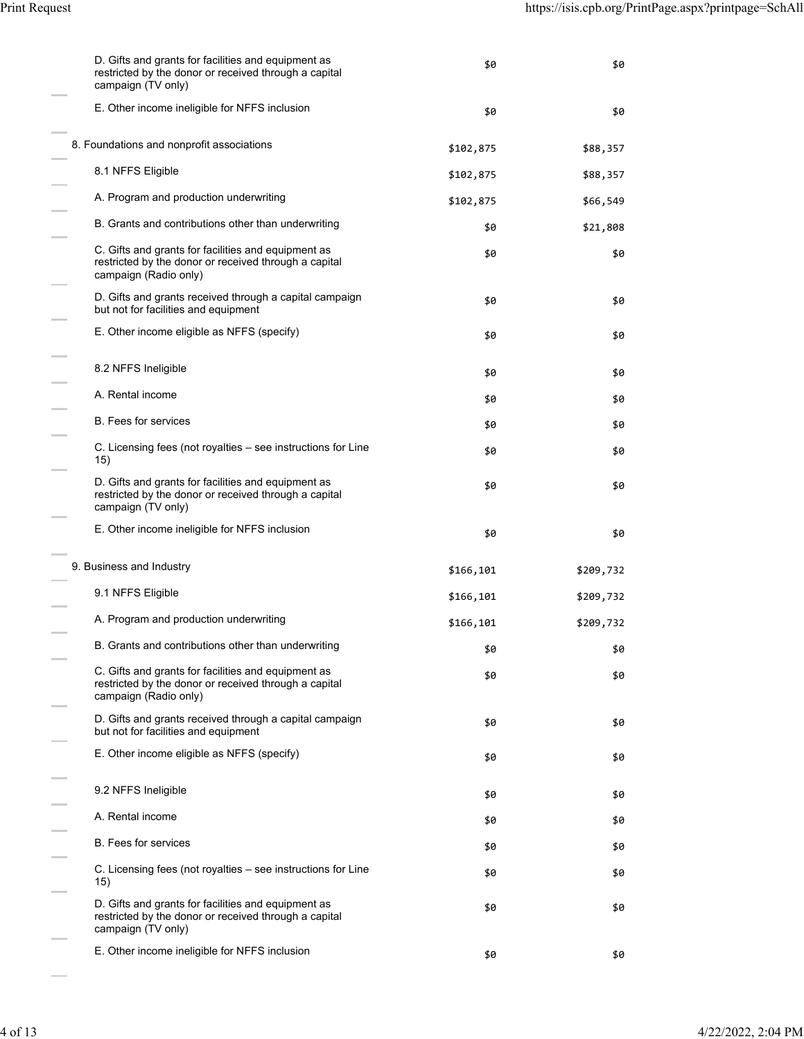| D. Gifts and grants for facilities and equipment as<br>restricted by the donor or received through a capital<br>campaign (TV only)    | \$0       | \$0       |
|---------------------------------------------------------------------------------------------------------------------------------------|-----------|-----------|
| E. Other income ineligible for NFFS inclusion                                                                                         | \$0       | \$0       |
| 8. Foundations and nonprofit associations                                                                                             | \$102,875 | \$88,357  |
| 8.1 NFFS Eligible                                                                                                                     | \$102,875 | \$88,357  |
| A. Program and production underwriting                                                                                                | \$102,875 | \$66,549  |
| B. Grants and contributions other than underwriting                                                                                   | \$0       | \$21,808  |
| C. Gifts and grants for facilities and equipment as<br>restricted by the donor or received through a capital<br>campaign (Radio only) | \$0       | \$0       |
| D. Gifts and grants received through a capital campaign<br>but not for facilities and equipment                                       | \$0       | \$0       |
| E. Other income eligible as NFFS (specify)                                                                                            | \$0       | \$0       |
| 8.2 NFFS Ineligible                                                                                                                   | \$0       | \$0       |
| A. Rental income                                                                                                                      | \$0       | \$0       |
| <b>B.</b> Fees for services                                                                                                           | \$0       | \$0       |
| C. Licensing fees (not royalties – see instructions for Line<br>15)                                                                   | \$0       | \$0       |
| D. Gifts and grants for facilities and equipment as<br>restricted by the donor or received through a capital<br>campaign (TV only)    | \$0       | \$0       |
| E. Other income ineligible for NFFS inclusion                                                                                         | \$0       | \$0       |
| 9. Business and Industry                                                                                                              | \$166,101 | \$209,732 |
| 9.1 NFFS Eligible                                                                                                                     | \$166,101 | \$209,732 |
| A. Program and production underwriting                                                                                                | \$166,101 | \$209,732 |
| B. Grants and contributions other than underwriting                                                                                   | \$0       | \$0       |
| C. Gifts and grants for facilities and equipment as<br>restricted by the donor or received through a capital<br>campaign (Radio only) | \$0       | \$0       |
| D. Gifts and grants received through a capital campaign<br>but not for facilities and equipment                                       | \$0       | \$0       |
| E. Other income eligible as NFFS (specify)                                                                                            | \$0       | \$0       |
| 9.2 NFFS Ineligible                                                                                                                   | \$0       | \$0       |
| A. Rental income                                                                                                                      | \$0       | \$0       |
| <b>B.</b> Fees for services                                                                                                           | \$0       | \$0       |
| C. Licensing fees (not royalties – see instructions for Line<br>15)                                                                   | \$0       | \$0       |
| D. Gifts and grants for facilities and equipment as<br>restricted by the donor or received through a capital<br>campaign (TV only)    | \$0       | \$0       |
| E. Other income ineligible for NFFS inclusion                                                                                         | \$0       | \$0       |

 $\sim$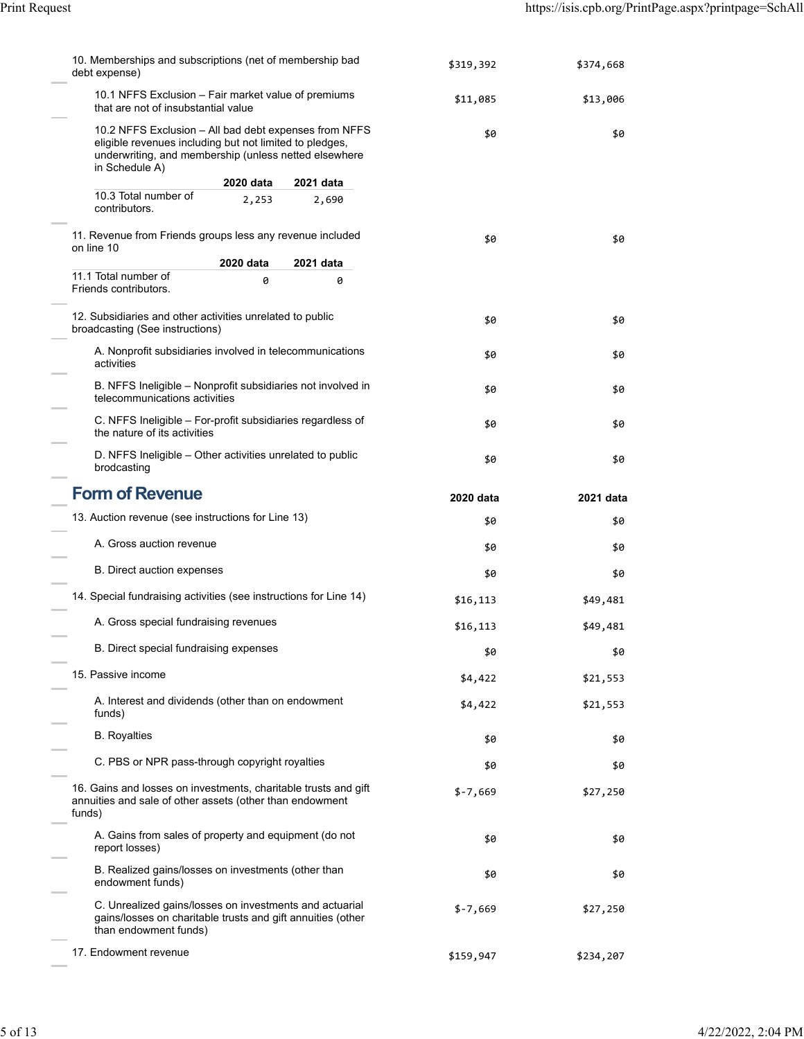| 10. Memberships and subscriptions (net of membership bad<br>debt expense)                                                                                                                   | \$319,392 | \$374,668 |
|---------------------------------------------------------------------------------------------------------------------------------------------------------------------------------------------|-----------|-----------|
| 10.1 NFFS Exclusion - Fair market value of premiums<br>that are not of insubstantial value                                                                                                  | \$11,085  | \$13,006  |
| 10.2 NFFS Exclusion - All bad debt expenses from NFFS<br>eligible revenues including but not limited to pledges,<br>underwriting, and membership (unless netted elsewhere<br>in Schedule A) | \$0       | \$0       |
| 2020 data<br>2021 data                                                                                                                                                                      |           |           |
| 10.3 Total number of<br>2,253<br>2,690<br>contributors.                                                                                                                                     |           |           |
| 11. Revenue from Friends groups less any revenue included<br>on line 10                                                                                                                     | \$0       | \$0       |
| 2020 data<br>2021 data                                                                                                                                                                      |           |           |
| 11.1 Total number of<br>0<br>0<br>Friends contributors.                                                                                                                                     |           |           |
| 12. Subsidiaries and other activities unrelated to public<br>broadcasting (See instructions)                                                                                                | \$0       | \$0       |
| A. Nonprofit subsidiaries involved in telecommunications<br>activities                                                                                                                      | \$0       | \$0       |
| B. NFFS Ineligible - Nonprofit subsidiaries not involved in<br>telecommunications activities                                                                                                | \$0       | \$0       |
| C. NFFS Ineligible - For-profit subsidiaries regardless of<br>the nature of its activities                                                                                                  | \$0       | \$0       |
| D. NFFS Ineligible – Other activities unrelated to public<br>brodcasting                                                                                                                    | \$0       | \$0       |
| <b>Form of Revenue</b>                                                                                                                                                                      | 2020 data | 2021 data |
|                                                                                                                                                                                             |           |           |
| 13. Auction revenue (see instructions for Line 13)                                                                                                                                          | \$0       | \$0       |
| A. Gross auction revenue                                                                                                                                                                    | \$0       | \$0       |
| B. Direct auction expenses                                                                                                                                                                  | \$0       | \$0       |
| 14. Special fundraising activities (see instructions for Line 14)                                                                                                                           | \$16,113  | \$49,481  |
| A. Gross special fundraising revenues                                                                                                                                                       | \$16,113  | \$49,481  |
| B. Direct special fundraising expenses                                                                                                                                                      | \$0       | \$0       |
| 15. Passive income                                                                                                                                                                          | \$4,422   | \$21,553  |
| A. Interest and dividends (other than on endowment<br>funds)                                                                                                                                | \$4,422   | \$21,553  |
| <b>B.</b> Royalties                                                                                                                                                                         | \$0       | \$0       |
| C. PBS or NPR pass-through copyright royalties                                                                                                                                              | \$0       | \$0       |
| 16. Gains and losses on investments, charitable trusts and gift<br>annuities and sale of other assets (other than endowment<br>funds)                                                       | $$-7,669$ | \$27,250  |
| A. Gains from sales of property and equipment (do not<br>report losses)                                                                                                                     | \$0       | \$0       |
| B. Realized gains/losses on investments (other than<br>endowment funds)                                                                                                                     | \$0       | \$0       |
| C. Unrealized gains/losses on investments and actuarial<br>gains/losses on charitable trusts and gift annuities (other<br>than endowment funds)                                             | $$-7,669$ | \$27,250  |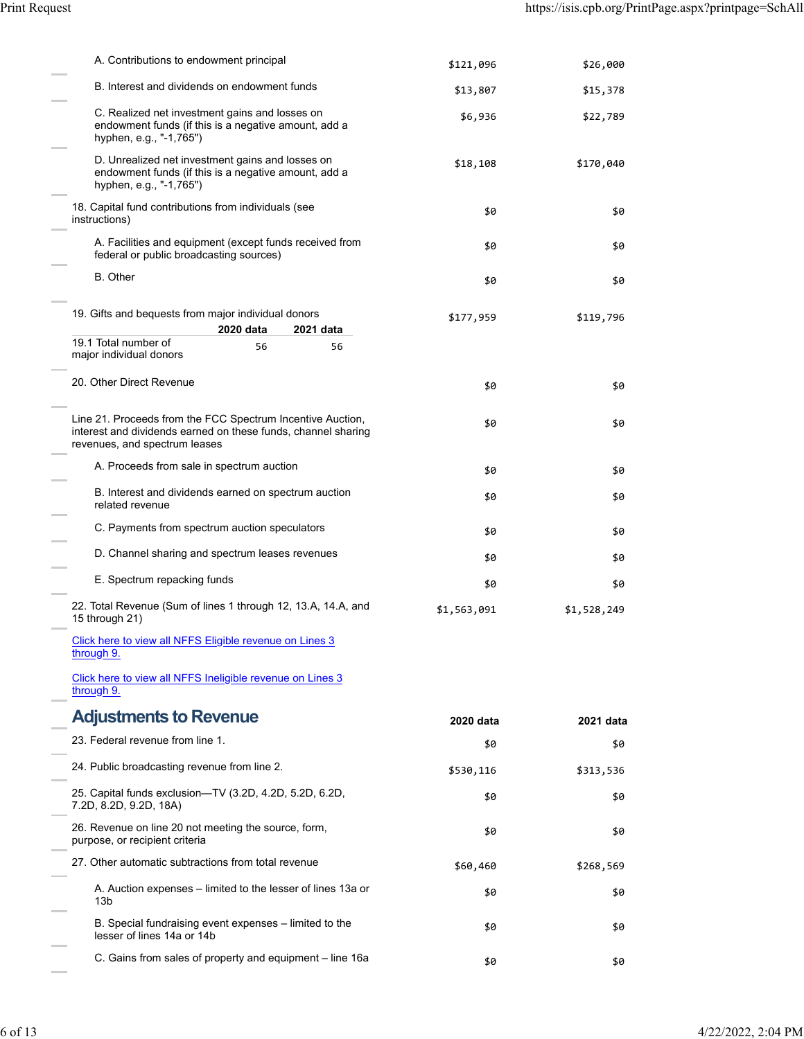| A. Contributions to endowment principal                                                                                                                      | \$121,096   | \$26,000    |
|--------------------------------------------------------------------------------------------------------------------------------------------------------------|-------------|-------------|
| B. Interest and dividends on endowment funds                                                                                                                 | \$13,807    | \$15,378    |
| C. Realized net investment gains and losses on<br>endowment funds (if this is a negative amount, add a<br>hyphen, e.g., "-1,765")                            | \$6,936     | \$22,789    |
| D. Unrealized net investment gains and losses on<br>endowment funds (if this is a negative amount, add a<br>hyphen, e.g., "-1,765")                          | \$18,108    | \$170,040   |
| 18. Capital fund contributions from individuals (see<br>instructions)                                                                                        | \$0         | \$0         |
| A. Facilities and equipment (except funds received from<br>federal or public broadcasting sources)                                                           | \$0         | \$0         |
| <b>B.</b> Other                                                                                                                                              | \$0         | \$0         |
| 19. Gifts and bequests from major individual donors<br>2020 data<br>2021 data                                                                                | \$177,959   | \$119,796   |
| 19.1 Total number of<br>56<br>56<br>major individual donors                                                                                                  |             |             |
|                                                                                                                                                              |             |             |
| 20. Other Direct Revenue                                                                                                                                     | \$0         | \$0         |
| Line 21. Proceeds from the FCC Spectrum Incentive Auction,<br>interest and dividends earned on these funds, channel sharing<br>revenues, and spectrum leases | \$0         | \$0         |
| A. Proceeds from sale in spectrum auction                                                                                                                    | \$0         | \$0         |
| B. Interest and dividends earned on spectrum auction<br>related revenue                                                                                      | \$0         | \$0         |
| C. Payments from spectrum auction speculators                                                                                                                | \$0         | \$0         |
| D. Channel sharing and spectrum leases revenues                                                                                                              | \$0         | \$0         |
| E. Spectrum repacking funds                                                                                                                                  | \$0         | \$0         |
| 22. Total Revenue (Sum of lines 1 through 12, 13.A, 14.A, and<br>15 through 21)                                                                              | \$1,563,091 | \$1,528,249 |
| Click here to view all NFFS Eligible revenue on Lines 3<br>through 9.                                                                                        |             |             |
| Click here to view all NFFS Ineligible revenue on Lines 3<br>through 9.                                                                                      |             |             |
| <b>Adjustments to Revenue</b>                                                                                                                                | 2020 data   | 2021 data   |
| 23. Federal revenue from line 1.                                                                                                                             | \$0         | \$0         |
| 24. Public broadcasting revenue from line 2.                                                                                                                 | \$530,116   | \$313,536   |
| 25. Capital funds exclusion-TV (3.2D, 4.2D, 5.2D, 6.2D,<br>7.2D, 8.2D, 9.2D, 18A)                                                                            | \$0         | \$0         |
| 26. Revenue on line 20 not meeting the source, form,<br>purpose, or recipient criteria                                                                       | \$0         | \$0         |
| 27. Other automatic subtractions from total revenue                                                                                                          | \$60,460    | \$268,569   |
| A. Auction expenses – limited to the lesser of lines 13a or<br>13b                                                                                           | \$0         | \$0         |
| B. Special fundraising event expenses - limited to the<br>lesser of lines 14a or 14b                                                                         | \$0         | \$0         |
| C. Gains from sales of property and equipment – line 16a                                                                                                     | \$0         | \$0         |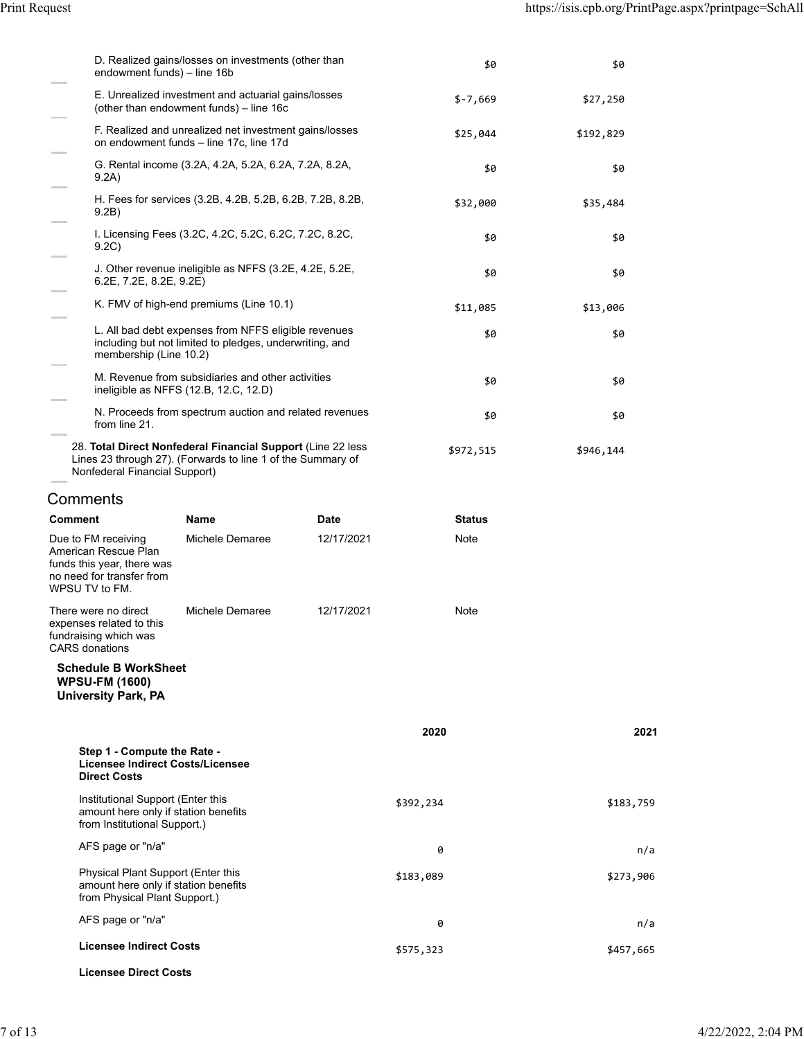| endowment funds) - line 16b                                                                                 |             | \$0                                                                                                                                                                                                                                                                                                                                                                                                                                                                                                                                                                                                                                                                                                                                                                | \$0       |                                                           |
|-------------------------------------------------------------------------------------------------------------|-------------|--------------------------------------------------------------------------------------------------------------------------------------------------------------------------------------------------------------------------------------------------------------------------------------------------------------------------------------------------------------------------------------------------------------------------------------------------------------------------------------------------------------------------------------------------------------------------------------------------------------------------------------------------------------------------------------------------------------------------------------------------------------------|-----------|-----------------------------------------------------------|
| E. Unrealized investment and actuarial gains/losses<br>(other than endowment funds) - line 16c              |             | $$-7,669$                                                                                                                                                                                                                                                                                                                                                                                                                                                                                                                                                                                                                                                                                                                                                          | \$27,250  |                                                           |
| on endowment funds - line 17c, line 17d                                                                     |             | \$25,044                                                                                                                                                                                                                                                                                                                                                                                                                                                                                                                                                                                                                                                                                                                                                           | \$192,829 |                                                           |
|                                                                                                             |             | \$0                                                                                                                                                                                                                                                                                                                                                                                                                                                                                                                                                                                                                                                                                                                                                                | \$0       |                                                           |
|                                                                                                             |             | \$32,000                                                                                                                                                                                                                                                                                                                                                                                                                                                                                                                                                                                                                                                                                                                                                           | \$35,484  |                                                           |
|                                                                                                             |             | \$0                                                                                                                                                                                                                                                                                                                                                                                                                                                                                                                                                                                                                                                                                                                                                                | \$0       |                                                           |
| $6.2E$ , $7.2E$ , $8.2E$ , $9.2E$ )                                                                         |             | \$0                                                                                                                                                                                                                                                                                                                                                                                                                                                                                                                                                                                                                                                                                                                                                                | \$0       |                                                           |
|                                                                                                             |             | \$11,085                                                                                                                                                                                                                                                                                                                                                                                                                                                                                                                                                                                                                                                                                                                                                           | \$13,006  |                                                           |
| membership (Line 10.2)                                                                                      |             | \$0                                                                                                                                                                                                                                                                                                                                                                                                                                                                                                                                                                                                                                                                                                                                                                | \$0       |                                                           |
| ineligible as NFFS (12.B, 12.C, 12.D)                                                                       |             | \$0                                                                                                                                                                                                                                                                                                                                                                                                                                                                                                                                                                                                                                                                                                                                                                | \$0       |                                                           |
|                                                                                                             |             | \$0                                                                                                                                                                                                                                                                                                                                                                                                                                                                                                                                                                                                                                                                                                                                                                | \$0       |                                                           |
| Nonfederal Financial Support)                                                                               |             | \$972,515                                                                                                                                                                                                                                                                                                                                                                                                                                                                                                                                                                                                                                                                                                                                                          | \$946,144 |                                                           |
|                                                                                                             |             |                                                                                                                                                                                                                                                                                                                                                                                                                                                                                                                                                                                                                                                                                                                                                                    |           |                                                           |
| Name                                                                                                        | <b>Date</b> | <b>Status</b>                                                                                                                                                                                                                                                                                                                                                                                                                                                                                                                                                                                                                                                                                                                                                      |           |                                                           |
| Michele Demaree                                                                                             | 12/17/2021  | Note                                                                                                                                                                                                                                                                                                                                                                                                                                                                                                                                                                                                                                                                                                                                                               |           |                                                           |
| Michele Demaree                                                                                             | 12/17/2021  | Note                                                                                                                                                                                                                                                                                                                                                                                                                                                                                                                                                                                                                                                                                                                                                               |           |                                                           |
| <b>Schedule B WorkSheet</b>                                                                                 |             |                                                                                                                                                                                                                                                                                                                                                                                                                                                                                                                                                                                                                                                                                                                                                                    |           |                                                           |
|                                                                                                             |             | 2020                                                                                                                                                                                                                                                                                                                                                                                                                                                                                                                                                                                                                                                                                                                                                               |           |                                                           |
| Step 1 - Compute the Rate -<br>Licensee Indirect Costs/Licensee                                             |             |                                                                                                                                                                                                                                                                                                                                                                                                                                                                                                                                                                                                                                                                                                                                                                    |           |                                                           |
| Institutional Support (Enter this<br>amount here only if station benefits<br>from Institutional Support.)   |             | \$392,234                                                                                                                                                                                                                                                                                                                                                                                                                                                                                                                                                                                                                                                                                                                                                          |           |                                                           |
|                                                                                                             |             | 0                                                                                                                                                                                                                                                                                                                                                                                                                                                                                                                                                                                                                                                                                                                                                                  |           |                                                           |
| Physical Plant Support (Enter this<br>amount here only if station benefits<br>from Physical Plant Support.) |             | \$183,089                                                                                                                                                                                                                                                                                                                                                                                                                                                                                                                                                                                                                                                                                                                                                          |           |                                                           |
|                                                                                                             |             | 0                                                                                                                                                                                                                                                                                                                                                                                                                                                                                                                                                                                                                                                                                                                                                                  |           |                                                           |
| <b>Licensee Indirect Costs</b>                                                                              |             | \$575,323                                                                                                                                                                                                                                                                                                                                                                                                                                                                                                                                                                                                                                                                                                                                                          |           |                                                           |
|                                                                                                             |             | D. Realized gains/losses on investments (other than<br>F. Realized and unrealized net investment gains/losses<br>G. Rental income (3.2A, 4.2A, 5.2A, 6.2A, 7.2A, 8.2A,<br>H. Fees for services (3.2B, 4.2B, 5.2B, 6.2B, 7.2B, 8.2B,<br>I. Licensing Fees (3.2C, 4.2C, 5.2C, 6.2C, 7.2C, 8.2C,<br>J. Other revenue ineligible as NFFS (3.2E, 4.2E, 5.2E,<br>K. FMV of high-end premiums (Line 10.1)<br>L. All bad debt expenses from NFFS eligible revenues<br>including but not limited to pledges, underwriting, and<br>M. Revenue from subsidiaries and other activities<br>N. Proceeds from spectrum auction and related revenues<br>28. Total Direct Nonfederal Financial Support (Line 22 less<br>Lines 23 through 27). (Forwards to line 1 of the Summary of |           | 2021<br>\$183,759<br>n/a<br>\$273,906<br>n/a<br>\$457,665 |

**Licensee Direct Costs**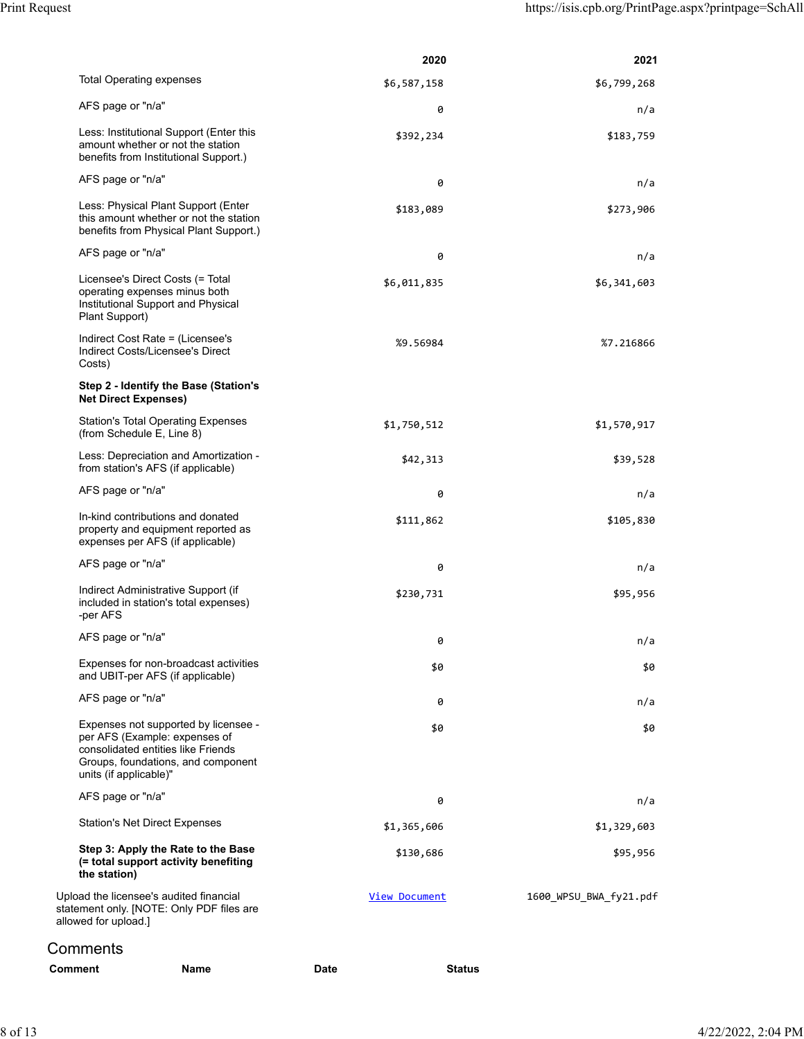|                |                                                                                                                                                                             |      | 2020                 | 2021                   |
|----------------|-----------------------------------------------------------------------------------------------------------------------------------------------------------------------------|------|----------------------|------------------------|
|                | <b>Total Operating expenses</b>                                                                                                                                             |      | \$6,587,158          | \$6,799,268            |
|                | AFS page or "n/a"                                                                                                                                                           |      | 0                    | n/a                    |
|                | Less: Institutional Support (Enter this<br>amount whether or not the station<br>benefits from Institutional Support.)                                                       |      | \$392,234            | \$183,759              |
|                | AFS page or "n/a"                                                                                                                                                           |      | 0                    | n/a                    |
|                | Less: Physical Plant Support (Enter<br>this amount whether or not the station<br>benefits from Physical Plant Support.)                                                     |      | \$183,089            | \$273,906              |
|                | AFS page or "n/a"                                                                                                                                                           |      | 0                    | n/a                    |
|                | Licensee's Direct Costs (= Total<br>operating expenses minus both<br>Institutional Support and Physical<br>Plant Support)                                                   |      | \$6,011,835          | \$6,341,603            |
|                | Indirect Cost Rate = (Licensee's<br>Indirect Costs/Licensee's Direct<br>Costs)                                                                                              |      | %9.56984             | %7.216866              |
|                | Step 2 - Identify the Base (Station's<br><b>Net Direct Expenses)</b>                                                                                                        |      |                      |                        |
|                | <b>Station's Total Operating Expenses</b><br>(from Schedule E, Line 8)                                                                                                      |      | \$1,750,512          | \$1,570,917            |
|                | Less: Depreciation and Amortization -<br>from station's AFS (if applicable)                                                                                                 |      | \$42,313             | \$39,528               |
|                | AFS page or "n/a"                                                                                                                                                           |      | 0                    | n/a                    |
|                | In-kind contributions and donated<br>property and equipment reported as<br>expenses per AFS (if applicable)                                                                 |      | \$111,862            | \$105,830              |
|                | AFS page or "n/a"                                                                                                                                                           |      | 0                    | n/a                    |
|                | Indirect Administrative Support (if<br>included in station's total expenses)<br>-per AFS                                                                                    |      | \$230,731            | \$95,956               |
|                | AFS page or "n/a"                                                                                                                                                           |      | 0                    | n/a                    |
|                | Expenses for non-broadcast activities<br>and UBIT-per AFS (if applicable)                                                                                                   |      | \$0                  | \$0                    |
|                | AFS page or "n/a"                                                                                                                                                           |      | 0                    | n/a                    |
|                | Expenses not supported by licensee -<br>per AFS (Example: expenses of<br>consolidated entities like Friends<br>Groups, foundations, and component<br>units (if applicable)" |      | \$0                  | \$0                    |
|                | AFS page or "n/a"                                                                                                                                                           |      | 0                    | n/a                    |
|                | <b>Station's Net Direct Expenses</b>                                                                                                                                        |      | \$1,365,606          | \$1,329,603            |
|                | Step 3: Apply the Rate to the Base<br>(= total support activity benefiting<br>the station)                                                                                  |      | \$130,686            | \$95,956               |
|                | Upload the licensee's audited financial<br>statement only. [NOTE: Only PDF files are<br>allowed for upload.]                                                                |      | <b>View Document</b> | 1600 WPSU BWA fy21.pdf |
| Comments       |                                                                                                                                                                             |      |                      |                        |
| <b>Comment</b> | Name                                                                                                                                                                        | Date | <b>Status</b>        |                        |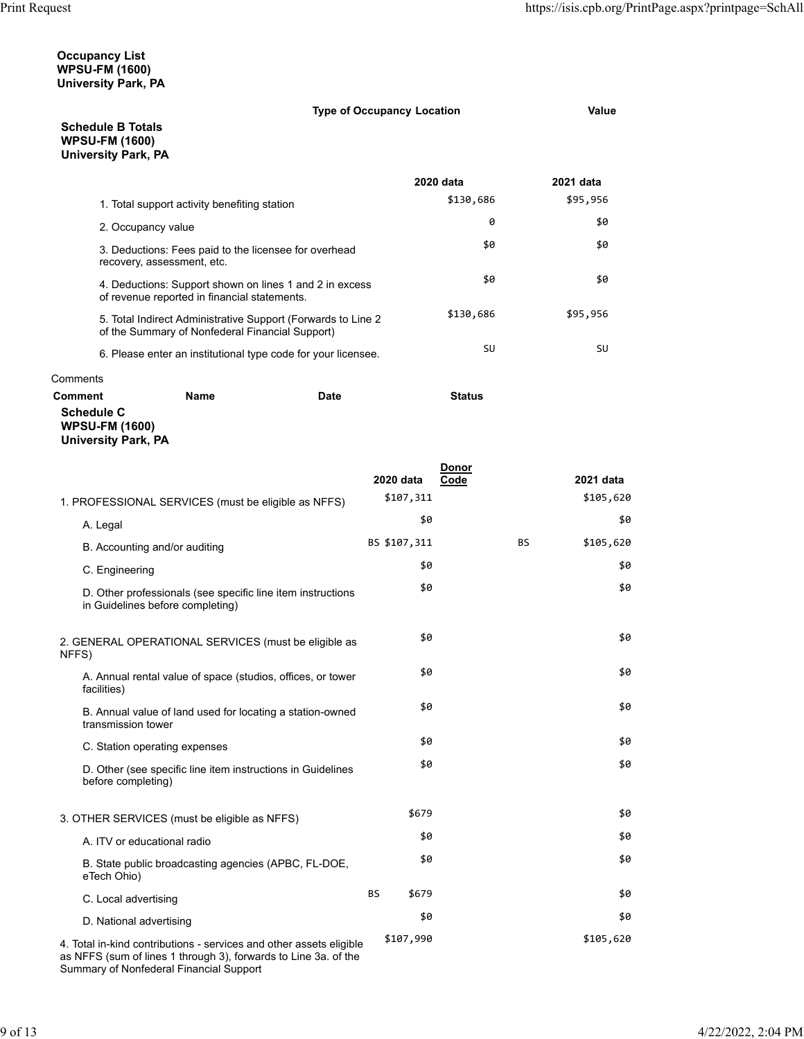## **Occupancy List WPSU-FM (1600) University Park, PA**

| <b>Type of Occupancy Location</b> | Value |
|-----------------------------------|-------|

**Schedule B Totals WPSU-FM (1600) University Park, PA**

|          |                                                                                                                  |      | 2020 data     | 2021 data |
|----------|------------------------------------------------------------------------------------------------------------------|------|---------------|-----------|
|          | 1. Total support activity benefiting station                                                                     |      | \$130,686     | \$95,956  |
|          | 2. Occupancy value                                                                                               |      | 0             | \$0       |
|          | 3. Deductions: Fees paid to the licensee for overhead<br>recovery, assessment, etc.                              |      | \$0           | \$0       |
|          | 4. Deductions: Support shown on lines 1 and 2 in excess<br>of revenue reported in financial statements.          |      | \$0           | \$0       |
|          | 5. Total Indirect Administrative Support (Forwards to Line 2)<br>of the Summary of Nonfederal Financial Support) |      | \$130,686     | \$95,956  |
|          | 6. Please enter an institutional type code for your licensee.                                                    |      | SU            | SU        |
| Comments |                                                                                                                  |      |               |           |
| Comment  | Name                                                                                                             | Date | <b>Status</b> |           |

**Schedule C**

**WPSU-FM (1600)**

| University Park, PA |  |
|---------------------|--|

|                                                                                                 |                    | Donor     |           |
|-------------------------------------------------------------------------------------------------|--------------------|-----------|-----------|
|                                                                                                 | 2020 data          | Code      | 2021 data |
| 1. PROFESSIONAL SERVICES (must be eligible as NFFS)                                             | \$107,311          |           | \$105,620 |
| A. Legal                                                                                        | \$0                |           | \$0       |
| B. Accounting and/or auditing                                                                   | BS \$107,311       | <b>BS</b> | \$105,620 |
| C. Engineering                                                                                  | \$0                |           | \$0       |
| D. Other professionals (see specific line item instructions<br>in Guidelines before completing) | \$0                |           | \$0       |
| 2. GENERAL OPERATIONAL SERVICES (must be eligible as<br>NFFS)                                   | \$0                |           | \$0       |
| A. Annual rental value of space (studios, offices, or tower<br>facilities)                      | \$0                |           | \$0       |
| B. Annual value of land used for locating a station-owned<br>transmission tower                 | \$0                |           | \$0       |
| C. Station operating expenses                                                                   | \$0                |           | \$0       |
| D. Other (see specific line item instructions in Guidelines<br>before completing)               | \$0                |           | \$0       |
| 3. OTHER SERVICES (must be eligible as NFFS)                                                    | \$679              |           | \$0       |
| A. ITV or educational radio                                                                     | \$0                |           | \$0       |
| B. State public broadcasting agencies (APBC, FL-DOE,<br>eTech Ohio)                             | \$0                |           | \$0       |
| C. Local advertising                                                                            | <b>BS</b><br>\$679 |           | \$0       |
| D. National advertising                                                                         | \$0                |           | \$0       |
| 4. Total in-kind contributions - services and other assets eligible                             | \$107,990          |           | \$105,620 |

as NFFS (sum of lines 1 through 3), forwards to Line 3a. of the Summary of Nonfederal Financial Support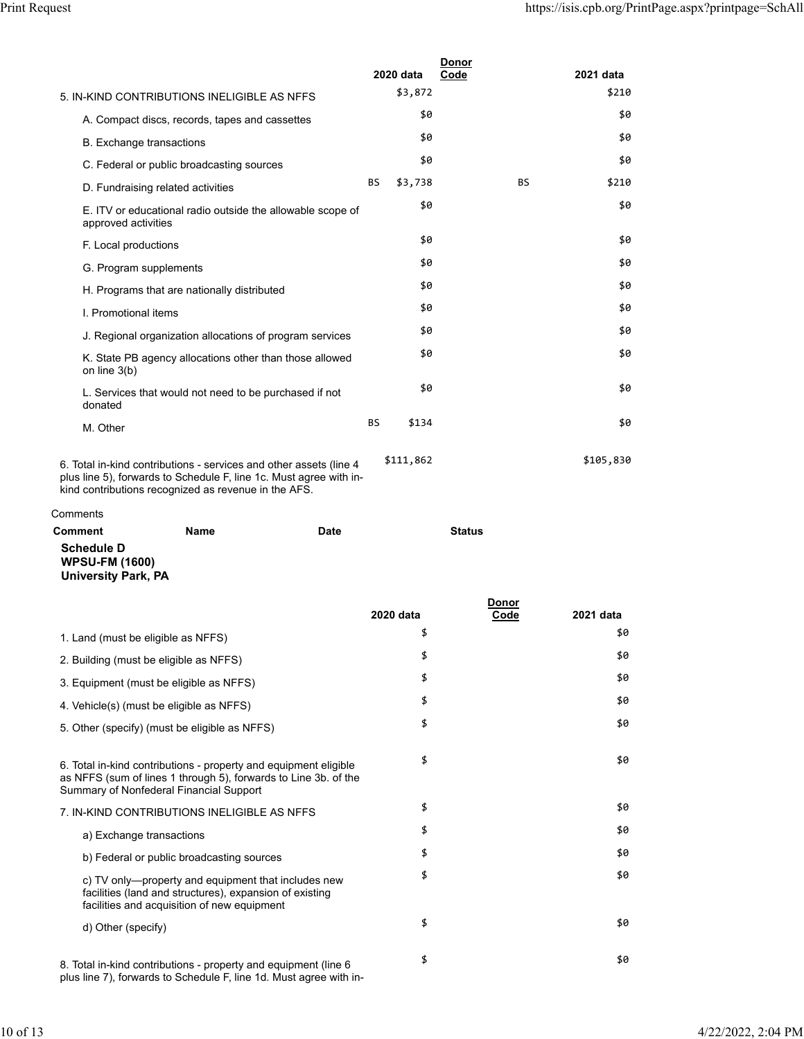|          |                                   |                                                                                                                                                                                                  |      |           | 2020 data | Donor<br>Code |           | 2021 data |
|----------|-----------------------------------|--------------------------------------------------------------------------------------------------------------------------------------------------------------------------------------------------|------|-----------|-----------|---------------|-----------|-----------|
|          |                                   | 5. IN-KIND CONTRIBUTIONS INELIGIBLE AS NEFS                                                                                                                                                      |      |           | \$3,872   |               |           | \$210     |
|          |                                   | A. Compact discs, records, tapes and cassettes                                                                                                                                                   |      |           | \$0       |               |           | \$0       |
|          | <b>B.</b> Exchange transactions   |                                                                                                                                                                                                  |      |           | \$0       |               |           | \$0       |
|          |                                   | C. Federal or public broadcasting sources                                                                                                                                                        |      |           | \$0       |               |           | \$0       |
|          | D. Fundraising related activities |                                                                                                                                                                                                  |      | <b>BS</b> | \$3,738   |               | <b>BS</b> | \$210     |
|          | approved activities               | E. ITV or educational radio outside the allowable scope of                                                                                                                                       |      |           | \$0       |               |           | \$0       |
|          | F. Local productions              |                                                                                                                                                                                                  |      |           | \$0       |               |           | \$0       |
|          | G. Program supplements            |                                                                                                                                                                                                  |      |           | \$0       |               |           | \$0       |
|          |                                   | H. Programs that are nationally distributed                                                                                                                                                      |      |           | \$0       |               |           | \$0       |
|          | I. Promotional items              |                                                                                                                                                                                                  |      |           | \$0       |               |           | \$0       |
|          |                                   | J. Regional organization allocations of program services                                                                                                                                         |      |           | \$0       |               |           | \$0       |
|          | on line $3(b)$                    | K. State PB agency allocations other than those allowed                                                                                                                                          |      |           | \$0       |               |           | \$0       |
|          | donated                           | L. Services that would not need to be purchased if not                                                                                                                                           |      |           | \$0       |               |           | \$0       |
|          | M. Other                          |                                                                                                                                                                                                  |      | <b>BS</b> | \$134     |               |           | \$0       |
|          |                                   | 6. Total in-kind contributions - services and other assets (line 4<br>plus line 5), forwards to Schedule F, line 1c. Must agree with in-<br>kind contributions recognized as revenue in the AFS. |      |           | \$111,862 |               |           | \$105,830 |
| Comments |                                   |                                                                                                                                                                                                  |      |           |           |               |           |           |
| Comment  |                                   | <b>Name</b>                                                                                                                                                                                      | Date |           |           | <b>Status</b> |           |           |

 $C<sub>0</sub>$ 

**Schedule D WPSU-FM (1600) University Park, PA**

|                                                                                                                                                                                |           | Donor |           |
|--------------------------------------------------------------------------------------------------------------------------------------------------------------------------------|-----------|-------|-----------|
|                                                                                                                                                                                | 2020 data | Code  | 2021 data |
| 1. Land (must be eligible as NFFS)                                                                                                                                             | \$        |       | \$0       |
| 2. Building (must be eligible as NFFS)                                                                                                                                         | \$        |       | \$0       |
| 3. Equipment (must be eligible as NFFS)                                                                                                                                        | \$        |       | \$0       |
| 4. Vehicle(s) (must be eligible as NFFS)                                                                                                                                       | \$        |       | \$0       |
| 5. Other (specify) (must be eligible as NFFS)                                                                                                                                  | \$        |       | \$0       |
| 6. Total in-kind contributions - property and equipment eligible<br>as NFFS (sum of lines 1 through 5), forwards to Line 3b. of the<br>Summary of Nonfederal Financial Support | \$        |       | \$0       |
| 7. IN-KIND CONTRIBUTIONS INELIGIBLE AS NFFS                                                                                                                                    | \$        |       | \$0       |
| a) Exchange transactions                                                                                                                                                       | \$        |       | \$0       |
| b) Federal or public broadcasting sources                                                                                                                                      | \$        |       | \$0       |
| c) TV only—property and equipment that includes new<br>facilities (land and structures), expansion of existing<br>facilities and acquisition of new equipment                  | \$        |       | \$0       |
| d) Other (specify)                                                                                                                                                             | \$        |       | \$0       |
| 8. Total in-kind contributions - property and equipment (line 6)<br>plus line 7), forwards to Schedule F, line 1d. Must agree with in-                                         | \$        |       | \$0       |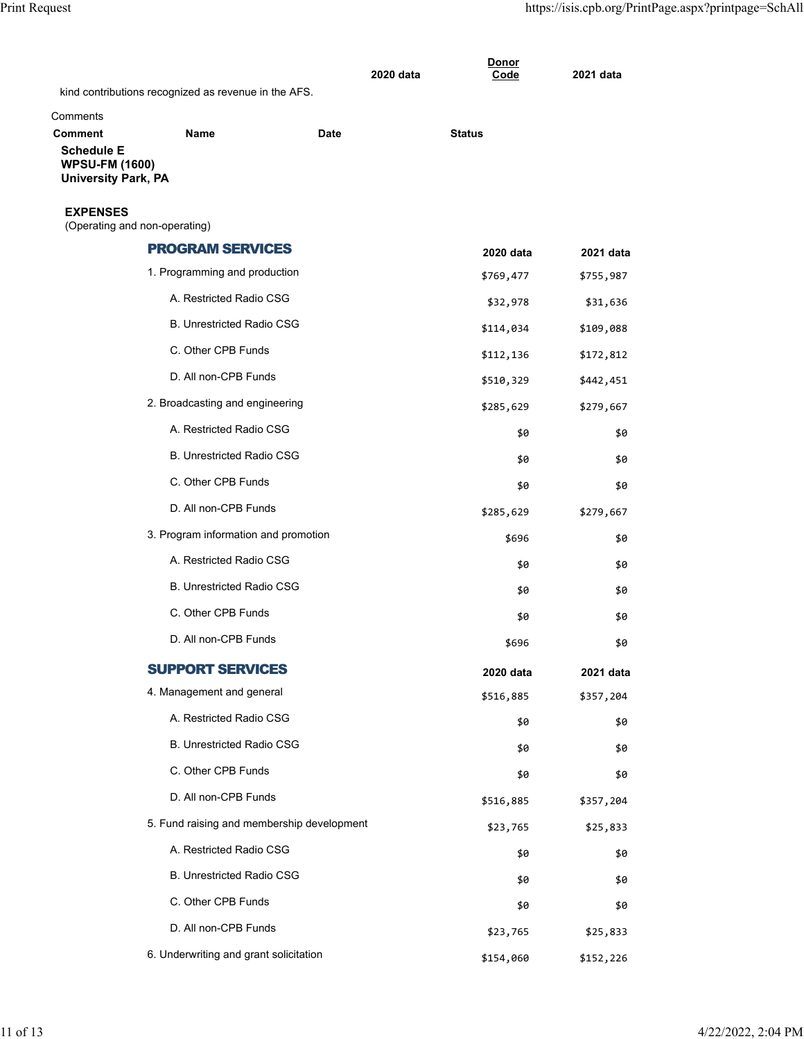|                                                                                            |                                                      |      | <b>Donor</b><br>2020 data<br>Code | 2021 data |
|--------------------------------------------------------------------------------------------|------------------------------------------------------|------|-----------------------------------|-----------|
|                                                                                            | kind contributions recognized as revenue in the AFS. |      |                                   |           |
| Comments                                                                                   |                                                      |      |                                   |           |
| <b>Comment</b><br><b>Schedule E</b><br><b>WPSU-FM (1600)</b><br><b>University Park, PA</b> | <b>Name</b>                                          | Date | <b>Status</b>                     |           |
| <b>EXPENSES</b><br>(Operating and non-operating)                                           |                                                      |      |                                   |           |
|                                                                                            | <b>PROGRAM SERVICES</b>                              |      | 2020 data                         | 2021 data |
|                                                                                            | 1. Programming and production                        |      | \$769,477                         | \$755,987 |
|                                                                                            | A. Restricted Radio CSG                              |      | \$32,978                          | \$31,636  |
|                                                                                            | <b>B. Unrestricted Radio CSG</b>                     |      | \$114,034                         | \$109,088 |
|                                                                                            | C. Other CPB Funds                                   |      | \$112,136                         | \$172,812 |
|                                                                                            | D. All non-CPB Funds                                 |      | \$510,329                         | \$442,451 |
|                                                                                            | 2. Broadcasting and engineering                      |      | \$285,629                         | \$279,667 |
|                                                                                            | A. Restricted Radio CSG                              |      | \$0                               | \$0       |
|                                                                                            | <b>B. Unrestricted Radio CSG</b>                     |      | \$0                               | \$0       |
|                                                                                            | C. Other CPB Funds                                   |      | \$0                               | \$0       |
|                                                                                            | D. All non-CPB Funds                                 |      | \$285,629                         | \$279,667 |
|                                                                                            | 3. Program information and promotion                 |      | \$696                             | \$0       |
|                                                                                            | A. Restricted Radio CSG                              |      | \$0                               | \$0       |
|                                                                                            | <b>B. Unrestricted Radio CSG</b>                     |      | \$0                               | \$0       |
|                                                                                            | C. Other CPB Funds                                   |      | \$0                               | \$0       |
|                                                                                            | D. All non-CPB Funds                                 |      | \$696                             | \$0       |
|                                                                                            | <b>SUPPORT SERVICES</b>                              |      | 2020 data                         | 2021 data |
|                                                                                            | 4. Management and general                            |      | \$516,885                         | \$357,204 |
|                                                                                            | A. Restricted Radio CSG                              |      | \$0                               | \$0       |
|                                                                                            | <b>B. Unrestricted Radio CSG</b>                     |      | \$0                               | \$0       |
|                                                                                            | C. Other CPB Funds                                   |      | \$0                               | \$0       |
|                                                                                            | D. All non-CPB Funds                                 |      | \$516,885                         | \$357,204 |
|                                                                                            | 5. Fund raising and membership development           |      | \$23,765                          | \$25,833  |
|                                                                                            | A. Restricted Radio CSG                              |      | \$0                               | \$0       |
|                                                                                            | <b>B. Unrestricted Radio CSG</b>                     |      | \$0                               | \$0       |
|                                                                                            | C. Other CPB Funds                                   |      | \$0                               | \$0       |
|                                                                                            | D. All non-CPB Funds                                 |      | \$23,765                          | \$25,833  |
|                                                                                            | 6. Underwriting and grant solicitation               |      | \$154,060                         | \$152,226 |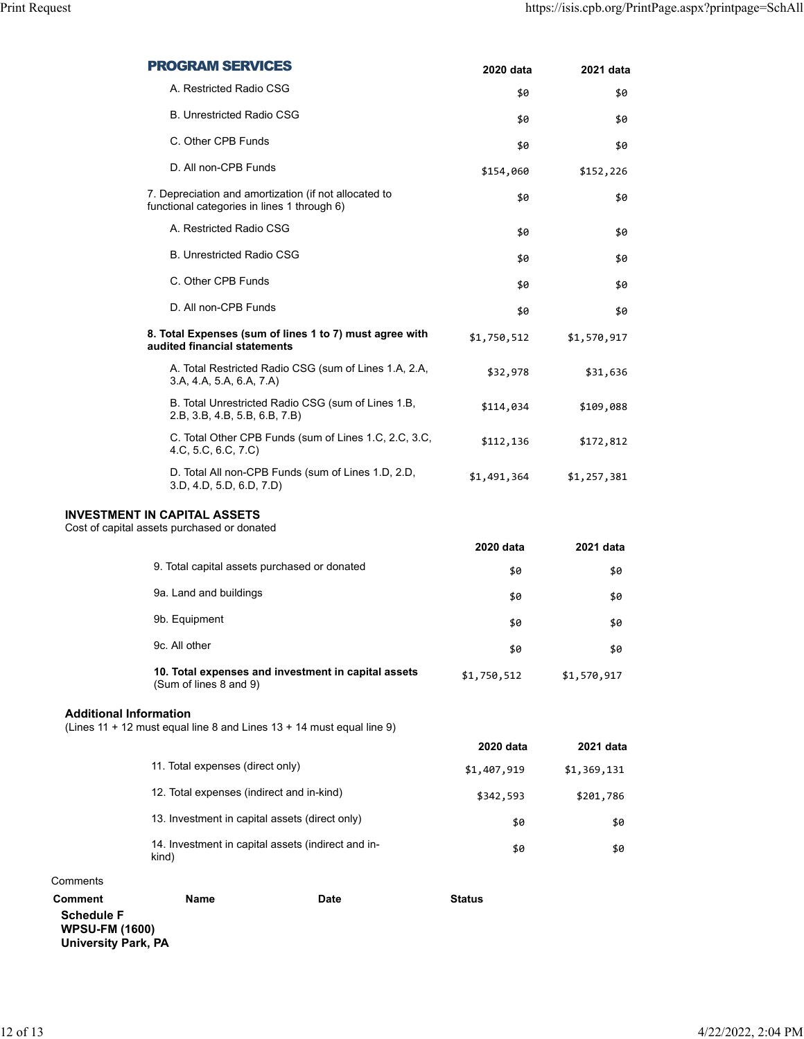|                                                                                            | <b>PROGRAM SERVICES</b>                                                                              |                                                         | 2020 data     | 2021 data   |
|--------------------------------------------------------------------------------------------|------------------------------------------------------------------------------------------------------|---------------------------------------------------------|---------------|-------------|
|                                                                                            | A. Restricted Radio CSG                                                                              |                                                         | \$0           | \$0         |
|                                                                                            | <b>B. Unrestricted Radio CSG</b>                                                                     |                                                         | \$0           | \$0         |
|                                                                                            | C. Other CPB Funds                                                                                   |                                                         | \$0           | \$0         |
|                                                                                            | D. All non-CPB Funds                                                                                 |                                                         | \$154,060     | \$152,226   |
|                                                                                            | 7. Depreciation and amortization (if not allocated to<br>functional categories in lines 1 through 6) |                                                         | \$0           | \$0         |
|                                                                                            | A. Restricted Radio CSG                                                                              |                                                         | \$0           | \$0         |
|                                                                                            | <b>B. Unrestricted Radio CSG</b>                                                                     |                                                         | \$0           | \$0         |
|                                                                                            | C. Other CPB Funds                                                                                   |                                                         | \$0           | \$0         |
|                                                                                            | D. All non-CPB Funds                                                                                 |                                                         | \$0           | \$0         |
|                                                                                            | audited financial statements                                                                         | 8. Total Expenses (sum of lines 1 to 7) must agree with | \$1,750,512   | \$1,570,917 |
|                                                                                            | 3.A, 4.A, 5.A, 6.A, 7.A)                                                                             | A. Total Restricted Radio CSG (sum of Lines 1.A, 2.A,   | \$32,978      | \$31,636    |
|                                                                                            | 2.B, 3.B, 4.B, 5.B, 6.B, 7.B)                                                                        | B. Total Unrestricted Radio CSG (sum of Lines 1.B,      | \$114,034     | \$109,088   |
|                                                                                            | 4.C, 5.C, 6.C, 7.C)                                                                                  | C. Total Other CPB Funds (sum of Lines 1.C, 2.C, 3.C,   | \$112,136     | \$172,812   |
|                                                                                            | 3.D, 4.D, 5.D, 6.D, 7.D)                                                                             | D. Total All non-CPB Funds (sum of Lines 1.D, 2.D,      | \$1,491,364   | \$1,257,381 |
|                                                                                            | <b>INVESTMENT IN CAPITAL ASSETS</b><br>Cost of capital assets purchased or donated                   |                                                         |               |             |
|                                                                                            |                                                                                                      |                                                         | 2020 data     | 2021 data   |
|                                                                                            | 9. Total capital assets purchased or donated                                                         |                                                         | \$0           | \$0         |
|                                                                                            | 9a. Land and buildings                                                                               |                                                         | \$0           | \$0         |
|                                                                                            | 9b. Equipment                                                                                        |                                                         | \$0           | \$0         |
|                                                                                            | 9c. All other                                                                                        |                                                         | \$0           | \$0         |
|                                                                                            | 10. Total expenses and investment in capital assets<br>(Sum of lines 8 and 9)                        |                                                         | \$1,750,512   | \$1,570,917 |
| <b>Additional Information</b>                                                              | (Lines 11 + 12 must equal line 8 and Lines 13 + 14 must equal line 9)                                |                                                         |               |             |
|                                                                                            |                                                                                                      |                                                         | 2020 data     | 2021 data   |
|                                                                                            | 11. Total expenses (direct only)                                                                     |                                                         | \$1,407,919   | \$1,369,131 |
|                                                                                            | 12. Total expenses (indirect and in-kind)                                                            |                                                         | \$342,593     | \$201,786   |
|                                                                                            | 13. Investment in capital assets (direct only)                                                       |                                                         | \$0           | \$0         |
|                                                                                            | 14. Investment in capital assets (indirect and in-<br>kind)                                          |                                                         | \$0           | \$0         |
| omments:                                                                                   |                                                                                                      |                                                         |               |             |
| <b>Comment</b><br><b>Schedule F</b><br><b>WPSU-FM (1600)</b><br><b>University Park, PA</b> | Name                                                                                                 | Date                                                    | <b>Status</b> |             |

Comments **Comment**